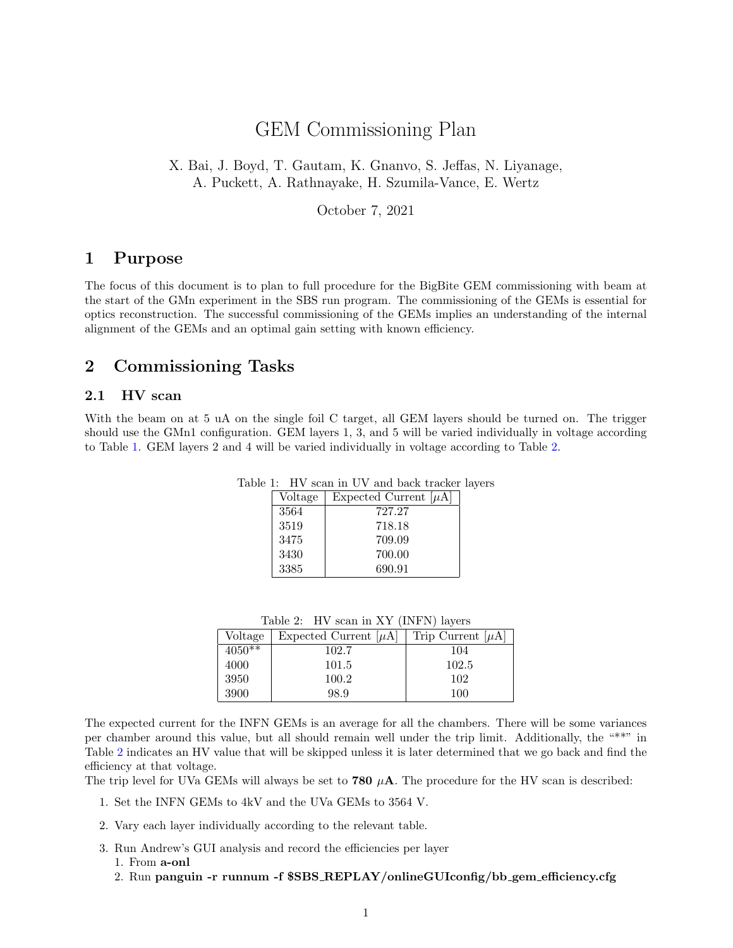# GEM Commissioning Plan

X. Bai, J. Boyd, T. Gautam, K. Gnanvo, S. Jeffas, N. Liyanage, A. Puckett, A. Rathnayake, H. Szumila-Vance, E. Wertz

October 7, 2021

### 1 Purpose

The focus of this document is to plan to full procedure for the BigBite GEM commissioning with beam at the start of the GMn experiment in the SBS run program. The commissioning of the GEMs is essential for optics reconstruction. The successful commissioning of the GEMs implies an understanding of the internal alignment of the GEMs and an optimal gain setting with known efficiency.

## 2 Commissioning Tasks

#### 2.1 HV scan

With the beam on at 5 uA on the single foil C target, all GEM layers should be turned on. The trigger should use the GMn1 configuration. GEM layers 1, 3, and 5 will be varied individually in voltage according to Table [1.](#page-0-0) GEM layers 2 and 4 will be varied individually in voltage according to Table [2.](#page-0-1)

<span id="page-0-0"></span>

| Voltage | Expected Current $ \mu A $ |
|---------|----------------------------|
| 3564    | 727.27                     |
| 3519    | 718.18                     |
| 3475    | 709.09                     |
| 3430    | 700.00                     |
| 3385    | 690.91                     |

Table 1: HV scan in UV and back tracker layers

<span id="page-0-1"></span>

|  | Table 2: HV scan in XY (INFN) layers |  |  |  |
|--|--------------------------------------|--|--|--|
|--|--------------------------------------|--|--|--|

| Voltage  | Expected Current $[\mu A]$ | Trip Current $[\mu A]$ |
|----------|----------------------------|------------------------|
| $4050**$ | 102.7                      | 104                    |
| 4000     | 101.5                      | 102.5                  |
| 3950     | 100.2                      | 102                    |
| 3900     | 98.9                       | 100                    |

The expected current for the INFN GEMs is an average for all the chambers. There will be some variances per chamber around this value, but all should remain well under the trip limit. Additionally, the "\*\*" in Table [2](#page-0-1) indicates an HV value that will be skipped unless it is later determined that we go back and find the efficiency at that voltage.

The trip level for UVa GEMs will always be set to **780**  $\mu$ **A**. The procedure for the HV scan is described:

- 1. Set the INFN GEMs to 4kV and the UVa GEMs to 3564 V.
- 2. Vary each layer individually according to the relevant table.
- 3. Run Andrew's GUI analysis and record the efficiencies per layer 1. From a-onl
	- 2. Run panguin -r runnum -f \$SBS REPLAY/onlineGUIconfig/bb gem efficiency.cfg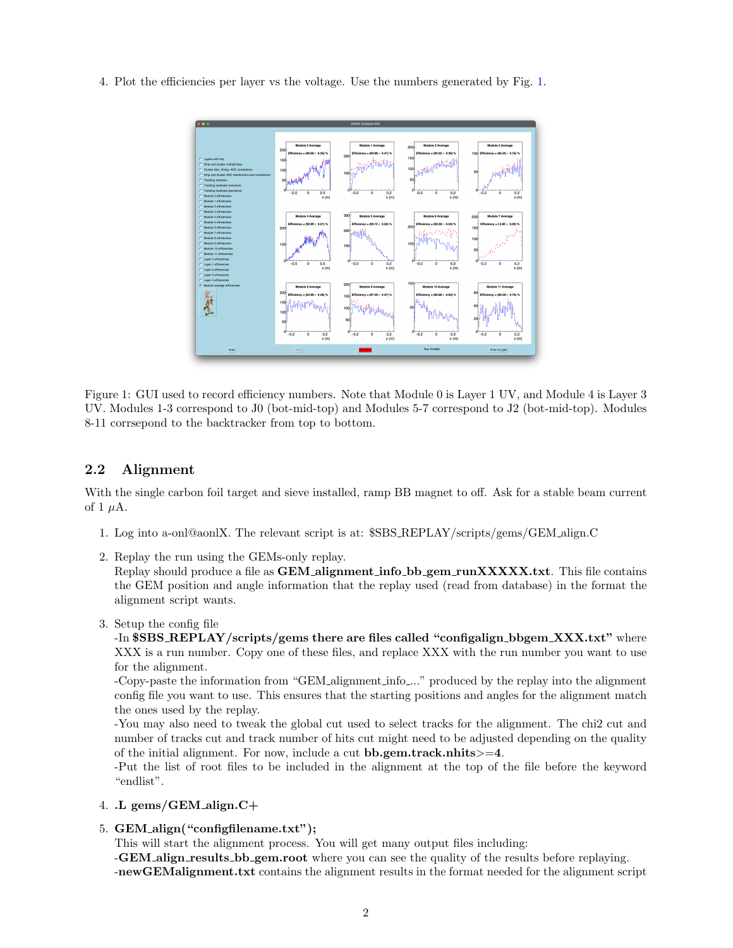4. Plot the efficiencies per layer vs the voltage. Use the numbers generated by Fig. [1.](#page-1-0)



<span id="page-1-0"></span>Figure 1: GUI used to record efficiency numbers. Note that Module 0 is Layer 1 UV, and Module 4 is Layer 3 UV. Modules 1-3 correspond to J0 (bot-mid-top) and Modules 5-7 correspond to J2 (bot-mid-top). Modules 8-11 corrsepond to the backtracker from top to bottom.

#### 2.2 Alignment

With the single carbon foil target and sieve installed, ramp BB magnet to off. Ask for a stable beam current of 1  $\mu$ A.

- 1. Log into a-onl@aonlX. The relevant script is at: \$SBS REPLAY/scripts/gems/GEM align.C
- 2. Replay the run using the GEMs-only replay.

Replay should produce a file as **GEM** alignment info  $bb$ -gem runXXXXX.txt. This file contains the GEM position and angle information that the replay used (read from database) in the format the alignment script wants.

3. Setup the config file

-In \$SBS\_REPLAY/scripts/gems there are files called "configalign\_bbgem\_XXX.txt" where XXX is a run number. Copy one of these files, and replace XXX with the run number you want to use for the alignment.

-Copy-paste the information from "GEM alignment info ..." produced by the replay into the alignment config file you want to use. This ensures that the starting positions and angles for the alignment match the ones used by the replay.

-You may also need to tweak the global cut used to select tracks for the alignment. The chi2 cut and number of tracks cut and track number of hits cut might need to be adjusted depending on the quality of the initial alignment. For now, include a cut bb.gem.track.nhits>=4.

-Put the list of root files to be included in the alignment at the top of the file before the keyword "endlist".

- 4. .L gems/GEM align.C+
- 5. GEM align("configfilename.txt");

This will start the alignment process. You will get many output files including:

-GEM align results bb gem.root where you can see the quality of the results before replaying. -newGEMalignment.txt contains the alignment results in the format needed for the alignment script